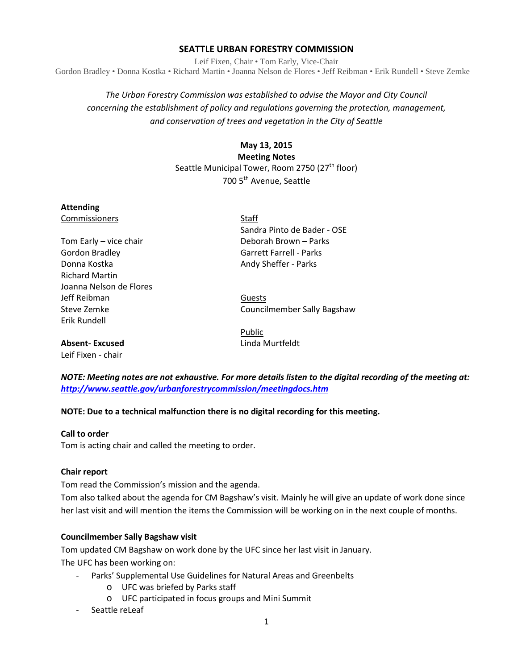## **SEATTLE URBAN FORESTRY COMMISSION**

Leif Fixen, Chair • Tom Early, Vice-Chair Gordon Bradley • Donna Kostka • Richard Martin • Joanna Nelson de Flores • Jeff Reibman • Erik Rundell • Steve Zemke

# *The Urban Forestry Commission was established to advise the Mayor and City Council concerning the establishment of policy and regulations governing the protection, management, and conservation of trees and vegetation in the City of Seattle*

# **May 13, 2015 Meeting Notes** Seattle Municipal Tower, Room 2750 (27<sup>th</sup> floor) 700 5<sup>th</sup> Avenue, Seattle

#### **Attending**

**Commissioners** Staff

Tom Early – vice chair **Deborah Brown** – Parks Gordon Bradley Garrett Farrell - Parks Donna Kostka **Andy Sheffer - Parks** Andy Sheffer - Parks Richard Martin Joanna Nelson de Flores Jeff Reibman Guests Erik Rundell

Sandra Pinto de Bader - OSE

Steve Zemke Councilmember Sally Bagshaw

**Absent- Excused** Linda Murtfeldt

Leif Fixen - chair

Public

*NOTE: Meeting notes are not exhaustive. For more details listen to the digital recording of the meeting at: <http://www.seattle.gov/urbanforestrycommission/meetingdocs.htm>*

## **NOTE: Due to a technical malfunction there is no digital recording for this meeting.**

#### **Call to order**

Tom is acting chair and called the meeting to order.

#### **Chair report**

Tom read the Commission's mission and the agenda.

Tom also talked about the agenda for CM Bagshaw's visit. Mainly he will give an update of work done since her last visit and will mention the items the Commission will be working on in the next couple of months.

#### **Councilmember Sally Bagshaw visit**

Tom updated CM Bagshaw on work done by the UFC since her last visit in January. The UFC has been working on:

- Parks' Supplemental Use Guidelines for Natural Areas and Greenbelts
	- o UFC was briefed by Parks staff
	- o UFC participated in focus groups and Mini Summit
- Seattle reLeaf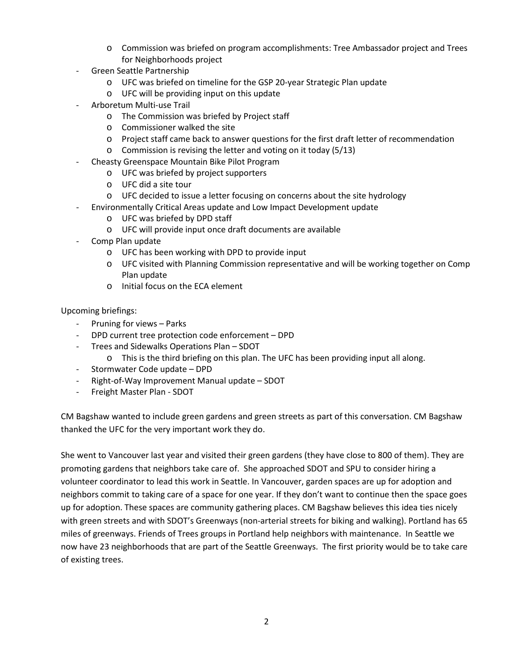- o Commission was briefed on program accomplishments: Tree Ambassador project and Trees for Neighborhoods project
- Green Seattle Partnership
	- o UFC was briefed on timeline for the GSP 20-year Strategic Plan update
	- o UFC will be providing input on this update
- Arboretum Multi-use Trail
	- o The Commission was briefed by Project staff
	- o Commissioner walked the site
	- o Project staff came back to answer questions for the first draft letter of recommendation
	- o Commission is revising the letter and voting on it today (5/13)
- Cheasty Greenspace Mountain Bike Pilot Program
	- o UFC was briefed by project supporters
	- o UFC did a site tour
	- o UFC decided to issue a letter focusing on concerns about the site hydrology
	- Environmentally Critical Areas update and Low Impact Development update
		- o UFC was briefed by DPD staff
		- o UFC will provide input once draft documents are available
- Comp Plan update
	- o UFC has been working with DPD to provide input
	- o UFC visited with Planning Commission representative and will be working together on Comp Plan update
	- o Initial focus on the ECA element

Upcoming briefings:

- Pruning for views Parks
- DPD current tree protection code enforcement DPD
- Trees and Sidewalks Operations Plan SDOT
	- o This is the third briefing on this plan. The UFC has been providing input all along.
- Stormwater Code update DPD
- Right-of-Way Improvement Manual update SDOT
- Freight Master Plan SDOT

CM Bagshaw wanted to include green gardens and green streets as part of this conversation. CM Bagshaw thanked the UFC for the very important work they do.

She went to Vancouver last year and visited their green gardens (they have close to 800 of them). They are promoting gardens that neighbors take care of. She approached SDOT and SPU to consider hiring a volunteer coordinator to lead this work in Seattle. In Vancouver, garden spaces are up for adoption and neighbors commit to taking care of a space for one year. If they don't want to continue then the space goes up for adoption. These spaces are community gathering places. CM Bagshaw believes this idea ties nicely with green streets and with SDOT's Greenways (non-arterial streets for biking and walking). Portland has 65 miles of greenways. Friends of Trees groups in Portland help neighbors with maintenance. In Seattle we now have 23 neighborhoods that are part of the Seattle Greenways. The first priority would be to take care of existing trees.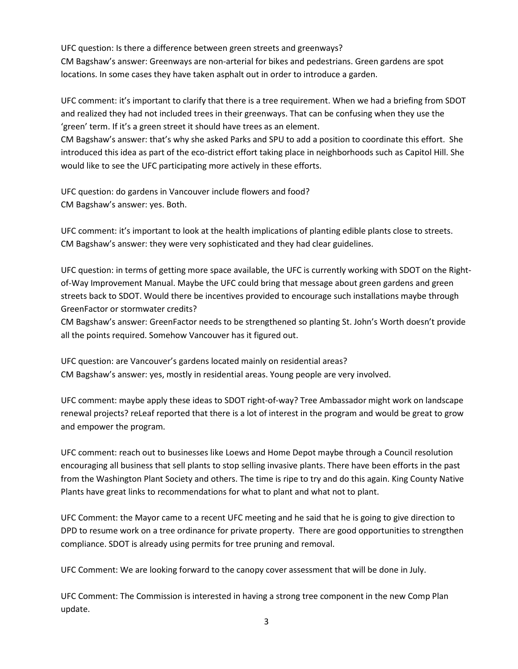UFC question: Is there a difference between green streets and greenways? CM Bagshaw's answer: Greenways are non-arterial for bikes and pedestrians. Green gardens are spot locations. In some cases they have taken asphalt out in order to introduce a garden.

UFC comment: it's important to clarify that there is a tree requirement. When we had a briefing from SDOT and realized they had not included trees in their greenways. That can be confusing when they use the 'green' term. If it's a green street it should have trees as an element.

CM Bagshaw's answer: that's why she asked Parks and SPU to add a position to coordinate this effort. She introduced this idea as part of the eco-district effort taking place in neighborhoods such as Capitol Hill. She would like to see the UFC participating more actively in these efforts.

UFC question: do gardens in Vancouver include flowers and food? CM Bagshaw's answer: yes. Both.

UFC comment: it's important to look at the health implications of planting edible plants close to streets. CM Bagshaw's answer: they were very sophisticated and they had clear guidelines.

UFC question: in terms of getting more space available, the UFC is currently working with SDOT on the Rightof-Way Improvement Manual. Maybe the UFC could bring that message about green gardens and green streets back to SDOT. Would there be incentives provided to encourage such installations maybe through GreenFactor or stormwater credits?

CM Bagshaw's answer: GreenFactor needs to be strengthened so planting St. John's Worth doesn't provide all the points required. Somehow Vancouver has it figured out.

UFC question: are Vancouver's gardens located mainly on residential areas? CM Bagshaw's answer: yes, mostly in residential areas. Young people are very involved.

UFC comment: maybe apply these ideas to SDOT right-of-way? Tree Ambassador might work on landscape renewal projects? reLeaf reported that there is a lot of interest in the program and would be great to grow and empower the program.

UFC comment: reach out to businesses like Loews and Home Depot maybe through a Council resolution encouraging all business that sell plants to stop selling invasive plants. There have been efforts in the past from the Washington Plant Society and others. The time is ripe to try and do this again. King County Native Plants have great links to recommendations for what to plant and what not to plant.

UFC Comment: the Mayor came to a recent UFC meeting and he said that he is going to give direction to DPD to resume work on a tree ordinance for private property. There are good opportunities to strengthen compliance. SDOT is already using permits for tree pruning and removal.

UFC Comment: We are looking forward to the canopy cover assessment that will be done in July.

UFC Comment: The Commission is interested in having a strong tree component in the new Comp Plan update.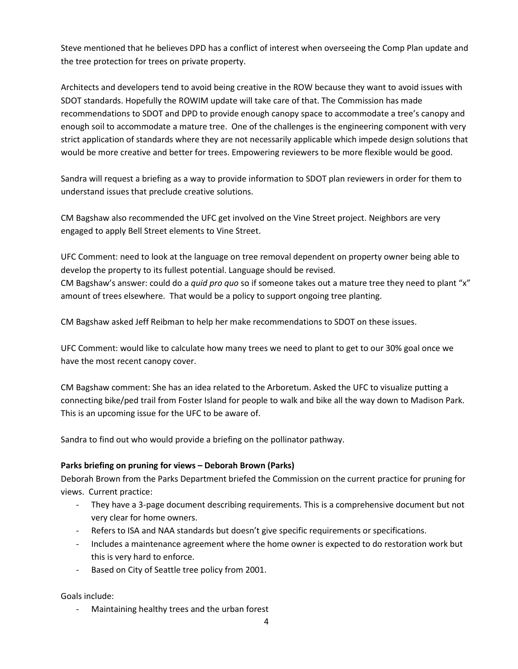Steve mentioned that he believes DPD has a conflict of interest when overseeing the Comp Plan update and the tree protection for trees on private property.

Architects and developers tend to avoid being creative in the ROW because they want to avoid issues with SDOT standards. Hopefully the ROWIM update will take care of that. The Commission has made recommendations to SDOT and DPD to provide enough canopy space to accommodate a tree's canopy and enough soil to accommodate a mature tree. One of the challenges is the engineering component with very strict application of standards where they are not necessarily applicable which impede design solutions that would be more creative and better for trees. Empowering reviewers to be more flexible would be good.

Sandra will request a briefing as a way to provide information to SDOT plan reviewers in order for them to understand issues that preclude creative solutions.

CM Bagshaw also recommended the UFC get involved on the Vine Street project. Neighbors are very engaged to apply Bell Street elements to Vine Street.

UFC Comment: need to look at the language on tree removal dependent on property owner being able to develop the property to its fullest potential. Language should be revised. CM Bagshaw's answer: could do a *quid pro quo* so if someone takes out a mature tree they need to plant "x" amount of trees elsewhere. That would be a policy to support ongoing tree planting.

CM Bagshaw asked Jeff Reibman to help her make recommendations to SDOT on these issues.

UFC Comment: would like to calculate how many trees we need to plant to get to our 30% goal once we have the most recent canopy cover.

CM Bagshaw comment: She has an idea related to the Arboretum. Asked the UFC to visualize putting a connecting bike/ped trail from Foster Island for people to walk and bike all the way down to Madison Park. This is an upcoming issue for the UFC to be aware of.

Sandra to find out who would provide a briefing on the pollinator pathway.

## **Parks briefing on pruning for views – Deborah Brown (Parks)**

Deborah Brown from the Parks Department briefed the Commission on the current practice for pruning for views. Current practice:

- They have a 3-page document describing requirements. This is a comprehensive document but not very clear for home owners.
- Refers to ISA and NAA standards but doesn't give specific requirements or specifications.
- Includes a maintenance agreement where the home owner is expected to do restoration work but this is very hard to enforce.
- Based on City of Seattle tree policy from 2001.

Goals include:

Maintaining healthy trees and the urban forest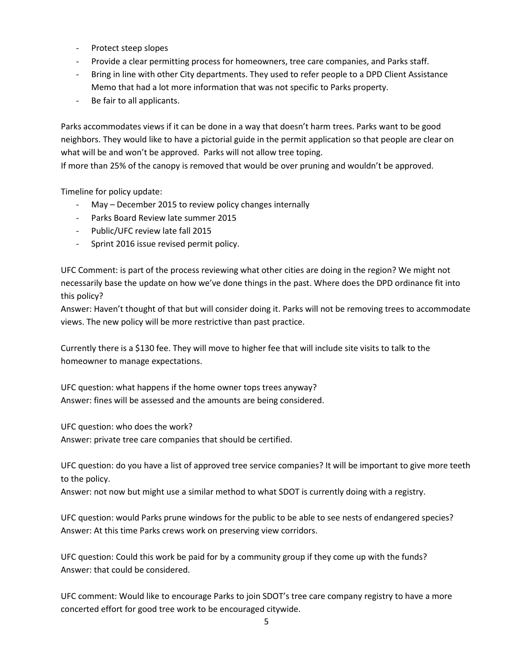- Protect steep slopes
- Provide a clear permitting process for homeowners, tree care companies, and Parks staff.
- Bring in line with other City departments. They used to refer people to a DPD Client Assistance Memo that had a lot more information that was not specific to Parks property.
- Be fair to all applicants.

Parks accommodates views if it can be done in a way that doesn't harm trees. Parks want to be good neighbors. They would like to have a pictorial guide in the permit application so that people are clear on what will be and won't be approved. Parks will not allow tree toping.

If more than 25% of the canopy is removed that would be over pruning and wouldn't be approved.

Timeline for policy update:

- May December 2015 to review policy changes internally
- Parks Board Review late summer 2015
- Public/UFC review late fall 2015
- Sprint 2016 issue revised permit policy.

UFC Comment: is part of the process reviewing what other cities are doing in the region? We might not necessarily base the update on how we've done things in the past. Where does the DPD ordinance fit into this policy?

Answer: Haven't thought of that but will consider doing it. Parks will not be removing trees to accommodate views. The new policy will be more restrictive than past practice.

Currently there is a \$130 fee. They will move to higher fee that will include site visits to talk to the homeowner to manage expectations.

UFC question: what happens if the home owner tops trees anyway? Answer: fines will be assessed and the amounts are being considered.

UFC question: who does the work?

Answer: private tree care companies that should be certified.

UFC question: do you have a list of approved tree service companies? It will be important to give more teeth to the policy.

Answer: not now but might use a similar method to what SDOT is currently doing with a registry.

UFC question: would Parks prune windows for the public to be able to see nests of endangered species? Answer: At this time Parks crews work on preserving view corridors.

UFC question: Could this work be paid for by a community group if they come up with the funds? Answer: that could be considered.

UFC comment: Would like to encourage Parks to join SDOT's tree care company registry to have a more concerted effort for good tree work to be encouraged citywide.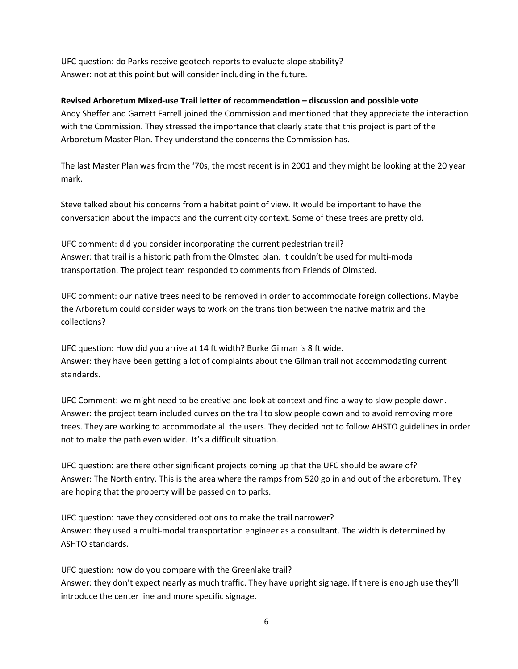UFC question: do Parks receive geotech reports to evaluate slope stability? Answer: not at this point but will consider including in the future.

# **Revised Arboretum Mixed-use Trail letter of recommendation – discussion and possible vote**

Andy Sheffer and Garrett Farrell joined the Commission and mentioned that they appreciate the interaction with the Commission. They stressed the importance that clearly state that this project is part of the Arboretum Master Plan. They understand the concerns the Commission has.

The last Master Plan was from the '70s, the most recent is in 2001 and they might be looking at the 20 year mark.

Steve talked about his concerns from a habitat point of view. It would be important to have the conversation about the impacts and the current city context. Some of these trees are pretty old.

UFC comment: did you consider incorporating the current pedestrian trail? Answer: that trail is a historic path from the Olmsted plan. It couldn't be used for multi-modal transportation. The project team responded to comments from Friends of Olmsted.

UFC comment: our native trees need to be removed in order to accommodate foreign collections. Maybe the Arboretum could consider ways to work on the transition between the native matrix and the collections?

UFC question: How did you arrive at 14 ft width? Burke Gilman is 8 ft wide. Answer: they have been getting a lot of complaints about the Gilman trail not accommodating current standards.

UFC Comment: we might need to be creative and look at context and find a way to slow people down. Answer: the project team included curves on the trail to slow people down and to avoid removing more trees. They are working to accommodate all the users. They decided not to follow AHSTO guidelines in order not to make the path even wider. It's a difficult situation.

UFC question: are there other significant projects coming up that the UFC should be aware of? Answer: The North entry. This is the area where the ramps from 520 go in and out of the arboretum. They are hoping that the property will be passed on to parks.

UFC question: have they considered options to make the trail narrower? Answer: they used a multi-modal transportation engineer as a consultant. The width is determined by ASHTO standards.

UFC question: how do you compare with the Greenlake trail? Answer: they don't expect nearly as much traffic. They have upright signage. If there is enough use they'll introduce the center line and more specific signage.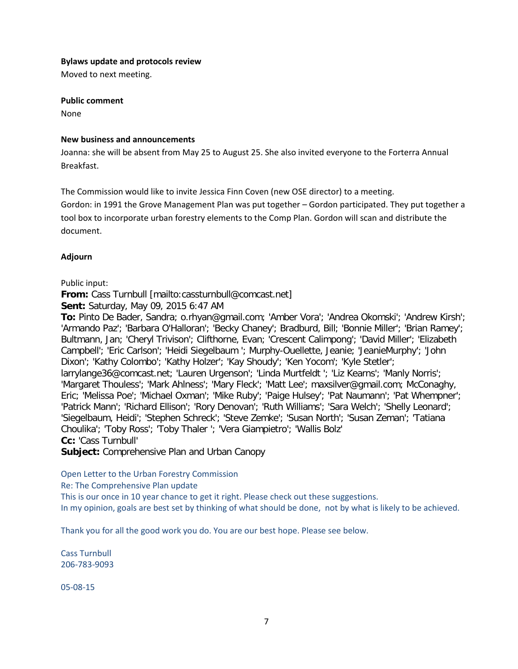#### **Bylaws update and protocols review**

Moved to next meeting.

# **Public comment**

None

## **New business and announcements**

Joanna: she will be absent from May 25 to August 25. She also invited everyone to the Forterra Annual Breakfast.

The Commission would like to invite Jessica Finn Coven (new OSE director) to a meeting.

Gordon: in 1991 the Grove Management Plan was put together – Gordon participated. They put together a tool box to incorporate urban forestry elements to the Comp Plan. Gordon will scan and distribute the document.

# **Adjourn**

# Public input:

**From:** Cass Turnbull [mailto:cassturnbull@comcast.net]

**Sent:** Saturday, May 09, 2015 6:47 AM

**To:** Pinto De Bader, Sandra; o.rhyan@gmail.com; 'Amber Vora'; 'Andrea Okomski'; 'Andrew Kirsh'; 'Armando Paz'; 'Barbara O'Halloran'; 'Becky Chaney'; Bradburd, Bill; 'Bonnie Miller'; 'Brian Ramey'; Bultmann, Jan; 'Cheryl Trivison'; Clifthorne, Evan; 'Crescent Calimpong'; 'David Miller'; 'Elizabeth Campbell'; 'Eric Carlson'; 'Heidi Siegelbaum '; Murphy-Ouellette, Jeanie; 'JeanieMurphy'; 'John Dixon'; 'Kathy Colombo'; 'Kathy Holzer'; 'Kay Shoudy'; 'Ken Yocom'; 'Kyle Stetler'; larrylange36@comcast.net; 'Lauren Urgenson'; 'Linda Murtfeldt '; 'Liz Kearns'; 'Manly Norris'; 'Margaret Thouless'; 'Mark Ahlness'; 'Mary Fleck'; 'Matt Lee'; maxsilver@gmail.com; McConaghy, Eric; 'Melissa Poe'; 'Michael Oxman'; 'Mike Ruby'; 'Paige Hulsey'; 'Pat Naumann'; 'Pat Whempner'; 'Patrick Mann'; 'Richard Ellison'; 'Rory Denovan'; 'Ruth Williams'; 'Sara Welch'; 'Shelly Leonard'; 'Siegelbaum, Heidi'; 'Stephen Schreck'; 'Steve Zemke'; 'Susan North'; 'Susan Zeman'; 'Tatiana Choulika'; 'Toby Ross'; 'Toby Thaler '; 'Vera Giampietro'; 'Wallis Bolz' **Cc:** 'Cass Turnbull'

**Subject:** Comprehensive Plan and Urban Canopy

Open Letter to the Urban Forestry Commission

Re: The Comprehensive Plan update

This is our once in 10 year chance to get it right. Please check out these suggestions. In my opinion, goals are best set by thinking of what should be done, not by what is likely to be achieved.

Thank you for all the good work you do. You are our best hope. Please see below.

Cass Turnbull 206-783-9093

05-08-15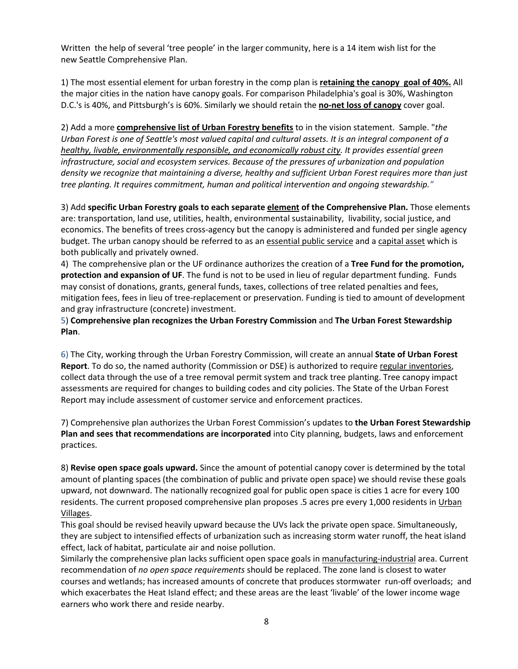Written the help of several 'tree people' in the larger community, here is a 14 item wish list for the new Seattle Comprehensive Plan.

1) The most essential element for urban forestry in the comp plan is **retaining the canopy goal of 40%.** All the major cities in the nation have canopy goals. For comparison Philadelphia's goal is 30%, Washington D.C.'s is 40%, and Pittsburgh's is 60%. Similarly we should retain the **no-net loss of canopy** cover goal.

2) Add a more **comprehensive list of Urban Forestry benefits** to in the vision statement. Sample. "*the Urban Forest is one of Seattle's most valued capital and cultural assets. It is an integral component of a healthy, livable, environmentally responsible, and economically robust city. It provides essential green infrastructure, social and ecosystem services. Because of the pressures of urbanization and population density we recognize that maintaining a diverse, healthy and sufficient Urban Forest requires more than just tree planting. It requires commitment, human and political intervention and ongoing stewardship."*

3) Add **specific Urban Forestry goals to each separate element of the Comprehensive Plan.** Those elements are: transportation, land use, utilities, health, environmental sustainability, livability, social justice, and economics. The benefits of trees cross-agency but the canopy is administered and funded per single agency budget. The urban canopy should be referred to as an essential public service and a capital asset which is both publically and privately owned.

4) The comprehensive plan or the UF ordinance authorizes the creation of a **Tree Fund for the promotion, protection and expansion of UF**. The fund is not to be used in lieu of regular department funding. Funds may consist of donations, grants, general funds, taxes, collections of tree related penalties and fees, mitigation fees, fees in lieu of tree-replacement or preservation. Funding is tied to amount of development and gray infrastructure (concrete) investment.

5) **Comprehensive plan recognizes the Urban Forestry Commission** and **The Urban Forest Stewardship Plan**.

6) The City, working through the Urban Forestry Commission, will create an annual **State of Urban Forest Report**. To do so, the named authority (Commission or DSE) is authorized to require regular inventories, collect data through the use of a tree removal permit system and track tree planting. Tree canopy impact assessments are required for changes to building codes and city policies. The State of the Urban Forest Report may include assessment of customer service and enforcement practices.

7) Comprehensive plan authorizes the Urban Forest Commission's updates to **the Urban Forest Stewardship Plan and sees that recommendations are incorporated** into City planning, budgets, laws and enforcement practices.

8) **Revise open space goals upward.** Since the amount of potential canopy cover is determined by the total amount of planting spaces (the combination of public and private open space) we should revise these goals upward, not downward. The nationally recognized goal for public open space is cities 1 acre for every 100 residents. The current proposed comprehensive plan proposes .5 acres pre every 1,000 residents in Urban Villages.

This goal should be revised heavily upward because the UVs lack the private open space. Simultaneously, they are subject to intensified effects of urbanization such as increasing storm water runoff, the heat island effect, lack of habitat, particulate air and noise pollution.

Similarly the comprehensive plan lacks sufficient open space goals in manufacturing-industrial area. Current recommendation of *no open space requirements* should be replaced. The zone land is closest to water courses and wetlands; has increased amounts of concrete that produces stormwater run-off overloads; and which exacerbates the Heat Island effect; and these areas are the least 'livable' of the lower income wage earners who work there and reside nearby.